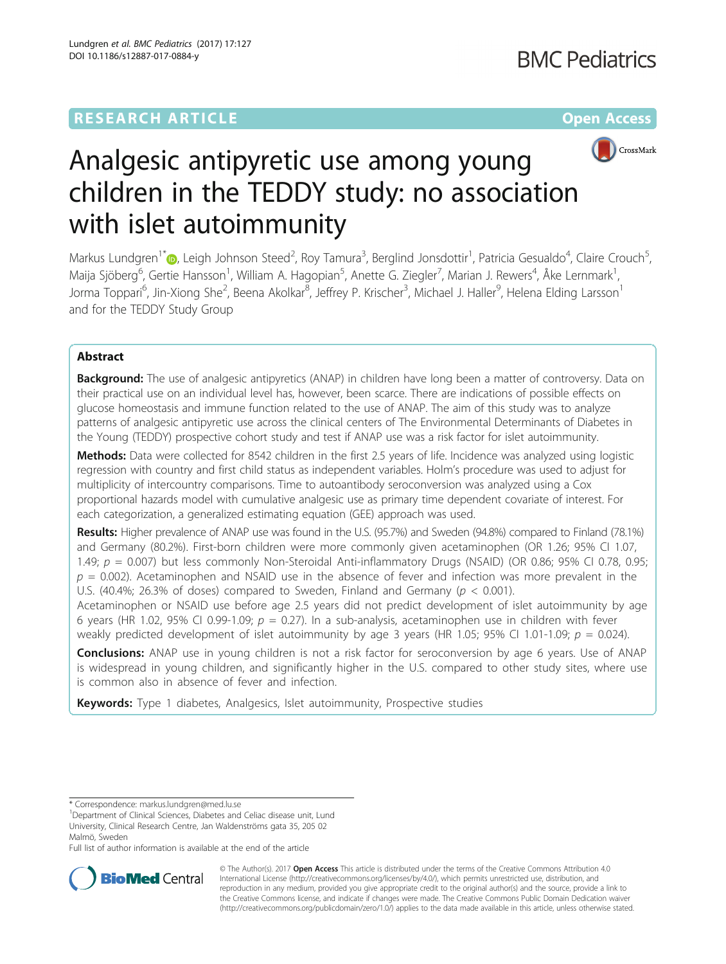# **RESEARCH ARTICLE External Structure Community Community Community Community Community Community Community Community**



# Analgesic antipyretic use among young children in the TEDDY study: no association with islet autoimmunity

Markus Lundgren<sup>1\*</sup> D, Leigh Johnson Steed<sup>2</sup>, Roy Tamura<sup>3</sup>, Berglind Jonsdottir<sup>1</sup>, Patricia Gesualdo<sup>4</sup>, Claire Crouch<sup>5</sup> , Maija Sjöberg<sup>6</sup>, Gertie Hansson<sup>1</sup>, William A. Hagopian<sup>5</sup>, Anette G. Ziegler<sup>7</sup>, Marian J. Rewers<sup>4</sup>, Åke Lernmark<sup>1</sup> , Jorma Toppari<sup>6</sup>, Jin-Xiong She<sup>2</sup>, Beena Akolkar<sup>8</sup>, Jeffrey P. Krischer<sup>3</sup>, Michael J. Haller<sup>9</sup>, Helena Elding Larsson<sup>1</sup> and for the TEDDY Study Group

# Abstract

**Background:** The use of analgesic antipyretics (ANAP) in children have long been a matter of controversy. Data on their practical use on an individual level has, however, been scarce. There are indications of possible effects on glucose homeostasis and immune function related to the use of ANAP. The aim of this study was to analyze patterns of analgesic antipyretic use across the clinical centers of The Environmental Determinants of Diabetes in the Young (TEDDY) prospective cohort study and test if ANAP use was a risk factor for islet autoimmunity.

Methods: Data were collected for 8542 children in the first 2.5 years of life. Incidence was analyzed using logistic regression with country and first child status as independent variables. Holm's procedure was used to adjust for multiplicity of intercountry comparisons. Time to autoantibody seroconversion was analyzed using a Cox proportional hazards model with cumulative analgesic use as primary time dependent covariate of interest. For each categorization, a generalized estimating equation (GEE) approach was used.

Results: Higher prevalence of ANAP use was found in the U.S. (95.7%) and Sweden (94.8%) compared to Finland (78.1%) and Germany (80.2%). First-born children were more commonly given acetaminophen (OR 1.26; 95% CI 1.07, 1.49;  $p = 0.007$ ) but less commonly Non-Steroidal Anti-inflammatory Drugs (NSAID) (OR 0.86; 95% CI 0.78, 0.95;  $p = 0.002$ ). Acetaminophen and NSAID use in the absence of fever and infection was more prevalent in the U.S. (40.4%; 26.3% of doses) compared to Sweden, Finland and Germany ( $p < 0.001$ ).

Acetaminophen or NSAID use before age 2.5 years did not predict development of islet autoimmunity by age 6 years (HR 1.02, 95% CI 0.99-1.09;  $p = 0.27$ ). In a sub-analysis, acetaminophen use in children with fever weakly predicted development of islet autoimmunity by age 3 years (HR 1.05; 95% CI 1.01-1.09;  $p = 0.024$ ).

Conclusions: ANAP use in young children is not a risk factor for seroconversion by age 6 years. Use of ANAP is widespread in young children, and significantly higher in the U.S. compared to other study sites, where use is common also in absence of fever and infection.

Keywords: Type 1 diabetes, Analgesics, Islet autoimmunity, Prospective studies

Full list of author information is available at the end of the article



© The Author(s). 2017 **Open Access** This article is distributed under the terms of the Creative Commons Attribution 4.0 International License [\(http://creativecommons.org/licenses/by/4.0/](http://creativecommons.org/licenses/by/4.0/)), which permits unrestricted use, distribution, and reproduction in any medium, provided you give appropriate credit to the original author(s) and the source, provide a link to the Creative Commons license, and indicate if changes were made. The Creative Commons Public Domain Dedication waiver [\(http://creativecommons.org/publicdomain/zero/1.0/](http://creativecommons.org/publicdomain/zero/1.0/)) applies to the data made available in this article, unless otherwise stated.

<sup>\*</sup> Correspondence: [markus.lundgren@med.lu.se](mailto:markus.lundgren@med.lu.se) <sup>1</sup>

<sup>&</sup>lt;sup>1</sup>Department of Clinical Sciences, Diabetes and Celiac disease unit, Lund University, Clinical Research Centre, Jan Waldenströms gata 35, 205 02 Malmö, Sweden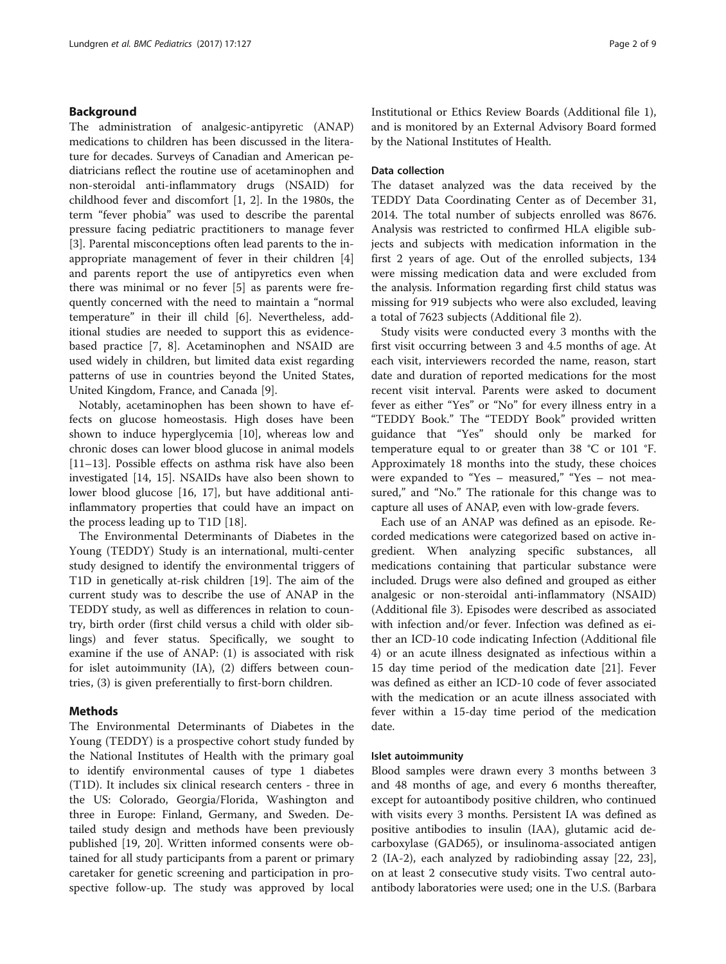# Background

The administration of analgesic-antipyretic (ANAP) medications to children has been discussed in the literature for decades. Surveys of Canadian and American pediatricians reflect the routine use of acetaminophen and non-steroidal anti-inflammatory drugs (NSAID) for childhood fever and discomfort [[1](#page-7-0), [2](#page-8-0)]. In the 1980s, the term "fever phobia" was used to describe the parental pressure facing pediatric practitioners to manage fever [[3\]](#page-8-0). Parental misconceptions often lead parents to the inappropriate management of fever in their children [\[4](#page-8-0)] and parents report the use of antipyretics even when there was minimal or no fever [[5\]](#page-8-0) as parents were frequently concerned with the need to maintain a "normal temperature" in their ill child [\[6](#page-8-0)]. Nevertheless, additional studies are needed to support this as evidencebased practice [\[7](#page-8-0), [8](#page-8-0)]. Acetaminophen and NSAID are used widely in children, but limited data exist regarding patterns of use in countries beyond the United States, United Kingdom, France, and Canada [\[9](#page-8-0)].

Notably, acetaminophen has been shown to have effects on glucose homeostasis. High doses have been shown to induce hyperglycemia [\[10\]](#page-8-0), whereas low and chronic doses can lower blood glucose in animal models [[11](#page-8-0)–[13](#page-8-0)]. Possible effects on asthma risk have also been investigated [\[14](#page-8-0), [15](#page-8-0)]. NSAIDs have also been shown to lower blood glucose [\[16](#page-8-0), [17\]](#page-8-0), but have additional antiinflammatory properties that could have an impact on the process leading up to T1D [\[18](#page-8-0)].

The Environmental Determinants of Diabetes in the Young (TEDDY) Study is an international, multi-center study designed to identify the environmental triggers of T1D in genetically at-risk children [[19\]](#page-8-0). The aim of the current study was to describe the use of ANAP in the TEDDY study, as well as differences in relation to country, birth order (first child versus a child with older siblings) and fever status. Specifically, we sought to examine if the use of ANAP: (1) is associated with risk for islet autoimmunity (IA), (2) differs between countries, (3) is given preferentially to first-born children.

# Methods

The Environmental Determinants of Diabetes in the Young (TEDDY) is a prospective cohort study funded by the National Institutes of Health with the primary goal to identify environmental causes of type 1 diabetes (T1D). It includes six clinical research centers - three in the US: Colorado, Georgia/Florida, Washington and three in Europe: Finland, Germany, and Sweden. Detailed study design and methods have been previously published [[19, 20](#page-8-0)]. Written informed consents were obtained for all study participants from a parent or primary caretaker for genetic screening and participation in prospective follow-up. The study was approved by local Institutional or Ethics Review Boards (Additional file [1](#page-6-0)), and is monitored by an External Advisory Board formed by the National Institutes of Health.

# Data collection

The dataset analyzed was the data received by the TEDDY Data Coordinating Center as of December 31, 2014. The total number of subjects enrolled was 8676. Analysis was restricted to confirmed HLA eligible subjects and subjects with medication information in the first 2 years of age. Out of the enrolled subjects, 134 were missing medication data and were excluded from the analysis. Information regarding first child status was missing for 919 subjects who were also excluded, leaving a total of 7623 subjects (Additional file [2\)](#page-6-0).

Study visits were conducted every 3 months with the first visit occurring between 3 and 4.5 months of age. At each visit, interviewers recorded the name, reason, start date and duration of reported medications for the most recent visit interval. Parents were asked to document fever as either "Yes" or "No" for every illness entry in a "TEDDY Book." The "TEDDY Book" provided written guidance that "Yes" should only be marked for temperature equal to or greater than 38 °C or 101 °F. Approximately 18 months into the study, these choices were expanded to "Yes – measured," "Yes – not measured," and "No." The rationale for this change was to capture all uses of ANAP, even with low-grade fevers.

Each use of an ANAP was defined as an episode. Recorded medications were categorized based on active ingredient. When analyzing specific substances, all medications containing that particular substance were included. Drugs were also defined and grouped as either analgesic or non-steroidal anti-inflammatory (NSAID) (Additional file [3\)](#page-6-0). Episodes were described as associated with infection and/or fever. Infection was defined as either an ICD-10 code indicating Infection (Additional file [4\)](#page-6-0) or an acute illness designated as infectious within a 15 day time period of the medication date [[21](#page-8-0)]. Fever was defined as either an ICD-10 code of fever associated with the medication or an acute illness associated with fever within a 15-day time period of the medication date.

# Islet autoimmunity

Blood samples were drawn every 3 months between 3 and 48 months of age, and every 6 months thereafter, except for autoantibody positive children, who continued with visits every 3 months. Persistent IA was defined as positive antibodies to insulin (IAA), glutamic acid decarboxylase (GAD65), or insulinoma-associated antigen 2 (IA-2), each analyzed by radiobinding assay [\[22, 23](#page-8-0)], on at least 2 consecutive study visits. Two central autoantibody laboratories were used; one in the U.S. (Barbara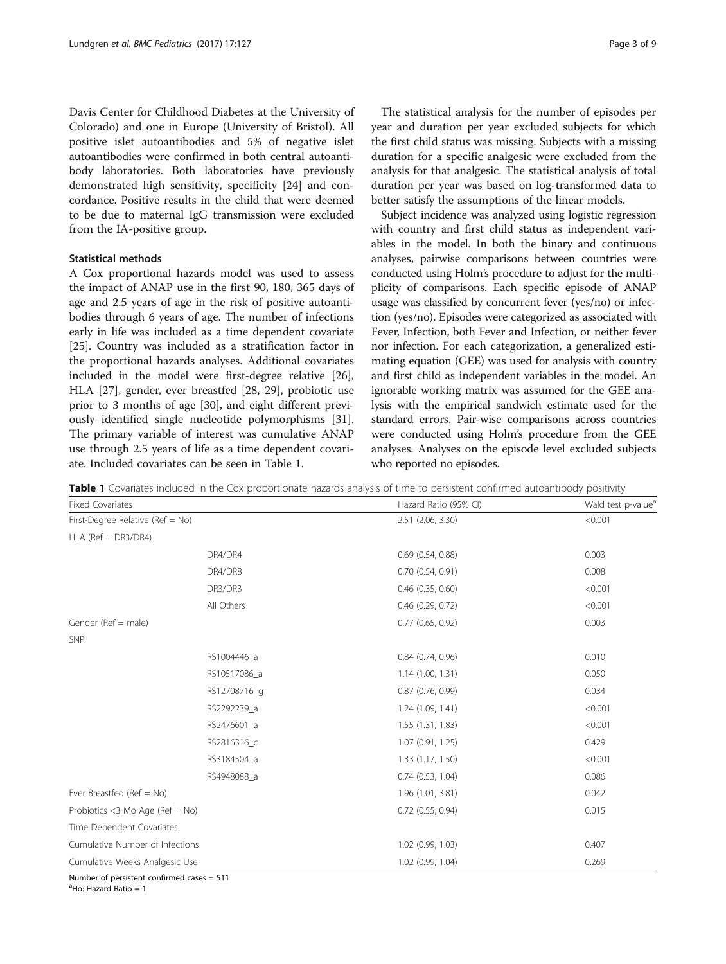Davis Center for Childhood Diabetes at the University of Colorado) and one in Europe (University of Bristol). All positive islet autoantibodies and 5% of negative islet autoantibodies were confirmed in both central autoantibody laboratories. Both laboratories have previously demonstrated high sensitivity, specificity [[24\]](#page-8-0) and concordance. Positive results in the child that were deemed to be due to maternal IgG transmission were excluded from the IA-positive group.

# Statistical methods

A Cox proportional hazards model was used to assess the impact of ANAP use in the first 90, 180, 365 days of age and 2.5 years of age in the risk of positive autoantibodies through 6 years of age. The number of infections early in life was included as a time dependent covariate [[25\]](#page-8-0). Country was included as a stratification factor in the proportional hazards analyses. Additional covariates included in the model were first-degree relative [\[26](#page-8-0)], HLA [\[27\]](#page-8-0), gender, ever breastfed [\[28](#page-8-0), [29](#page-8-0)], probiotic use prior to 3 months of age [\[30](#page-8-0)], and eight different previously identified single nucleotide polymorphisms [\[31](#page-8-0)]. The primary variable of interest was cumulative ANAP use through 2.5 years of life as a time dependent covariate. Included covariates can be seen in Table 1.

The statistical analysis for the number of episodes per year and duration per year excluded subjects for which the first child status was missing. Subjects with a missing duration for a specific analgesic were excluded from the analysis for that analgesic. The statistical analysis of total duration per year was based on log-transformed data to better satisfy the assumptions of the linear models.

Subject incidence was analyzed using logistic regression with country and first child status as independent variables in the model. In both the binary and continuous analyses, pairwise comparisons between countries were conducted using Holm's procedure to adjust for the multiplicity of comparisons. Each specific episode of ANAP usage was classified by concurrent fever (yes/no) or infection (yes/no). Episodes were categorized as associated with Fever, Infection, both Fever and Infection, or neither fever nor infection. For each categorization, a generalized estimating equation (GEE) was used for analysis with country and first child as independent variables in the model. An ignorable working matrix was assumed for the GEE analysis with the empirical sandwich estimate used for the standard errors. Pair-wise comparisons across countries were conducted using Holm's procedure from the GEE analyses. Analyses on the episode level excluded subjects who reported no episodes.

|  | Table 1 Covariates included in the Cox proportionate hazards analysis of time to persistent confirmed autoantibody positivity |  |  |  |  |  |
|--|-------------------------------------------------------------------------------------------------------------------------------|--|--|--|--|--|
|--|-------------------------------------------------------------------------------------------------------------------------------|--|--|--|--|--|

| <b>Fixed Covariates</b><br>First-Degree Relative (Ref = No) |              | Hazard Ratio (95% CI) | Wald test p-value <sup>a</sup> |  |
|-------------------------------------------------------------|--------------|-----------------------|--------------------------------|--|
|                                                             |              | 2.51 (2.06, 3.30)     | < 0.001                        |  |
| $HLA$ (Ref = DR3/DR4)                                       |              |                       |                                |  |
|                                                             | DR4/DR4      | $0.69$ $(0.54, 0.88)$ | 0.003                          |  |
|                                                             | DR4/DR8      | $0.70$ $(0.54, 0.91)$ | 0.008                          |  |
|                                                             | DR3/DR3      | $0.46$ (0.35, 0.60)   | < 0.001                        |  |
|                                                             | All Others   | 0.46 (0.29, 0.72)     | < 0.001                        |  |
| Gender (Ref = male)                                         |              | 0.77(0.65, 0.92)      | 0.003                          |  |
| SNP                                                         |              |                       |                                |  |
|                                                             | RS1004446 a  | $0.84$ $(0.74, 0.96)$ | 0.010                          |  |
|                                                             | RS10517086_a | 1.14(1.00, 1.31)      | 0.050                          |  |
|                                                             | RS12708716_q | $0.87$ (0.76, 0.99)   | 0.034                          |  |
|                                                             | RS2292239_a  | 1.24(1.09, 1.41)      | < 0.001                        |  |
|                                                             | RS2476601 a  | 1.55(1.31, 1.83)      | < 0.001                        |  |
|                                                             | RS2816316_c  | 1.07(0.91, 1.25)      | 0.429                          |  |
|                                                             | RS3184504 a  | 1.33 (1.17, 1.50)     | < 0.001                        |  |
|                                                             | RS4948088 a  | $0.74$ $(0.53, 1.04)$ | 0.086                          |  |
| Ever Breastfed (Ref = $No$ )                                |              | 1.96 (1.01, 3.81)     | 0.042                          |  |
| Probiotics <3 Mo Age ( $Ref = No$ )                         |              | $0.72$ $(0.55, 0.94)$ | 0.015                          |  |
| Time Dependent Covariates                                   |              |                       |                                |  |
| Cumulative Number of Infections                             |              | 1.02 (0.99, 1.03)     | 0.407                          |  |
| Cumulative Weeks Analgesic Use                              |              | 1.02 (0.99, 1.04)     | 0.269                          |  |
| Missolate of monototract confirmed process. F11.            |              |                       |                                |  |

Number of persistent confirmed cases = 511

<sup>a</sup>Ho: Hazard Ratio = 1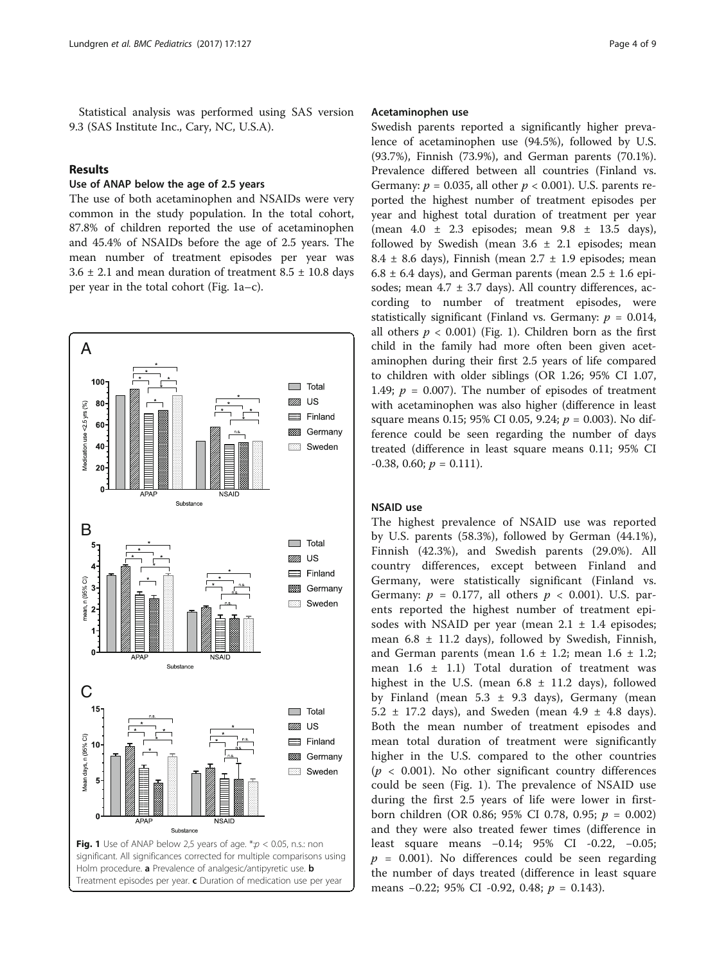Statistical analysis was performed using SAS version 9.3 (SAS Institute Inc., Cary, NC, U.S.A).

## Results

# Use of ANAP below the age of 2.5 years

The use of both acetaminophen and NSAIDs were very common in the study population. In the total cohort, 87.8% of children reported the use of acetaminophen and 45.4% of NSAIDs before the age of 2.5 years. The mean number of treatment episodes per year was  $3.6 \pm 2.1$  and mean duration of treatment  $8.5 \pm 10.8$  days per year in the total cohort (Fig. 1a–c).



#### Acetaminophen use

Swedish parents reported a significantly higher prevalence of acetaminophen use (94.5%), followed by U.S. (93.7%), Finnish (73.9%), and German parents (70.1%). Prevalence differed between all countries (Finland vs. Germany:  $p = 0.035$ , all other  $p < 0.001$ ). U.S. parents reported the highest number of treatment episodes per year and highest total duration of treatment per year (mean 4.0 ± 2.3 episodes; mean 9.8 ± 13.5 days), followed by Swedish (mean  $3.6 \pm 2.1$  episodes; mean 8.4  $\pm$  8.6 days), Finnish (mean 2.7  $\pm$  1.9 episodes; mean  $6.8 \pm 6.4$  days), and German parents (mean  $2.5 \pm 1.6$  episodes; mean  $4.7 \pm 3.7$  days). All country differences, according to number of treatment episodes, were statistically significant (Finland vs. Germany:  $p = 0.014$ , all others  $p < 0.001$ ) (Fig. 1). Children born as the first child in the family had more often been given acetaminophen during their first 2.5 years of life compared to children with older siblings (OR 1.26; 95% CI 1.07, 1.49;  $p = 0.007$ ). The number of episodes of treatment with acetaminophen was also higher (difference in least square means 0.15; 95% CI 0.05, 9.24;  $p = 0.003$ ). No difference could be seen regarding the number of days treated (difference in least square means 0.11; 95% CI  $-0.38$ , 0.60;  $p = 0.111$ ).

## NSAID use

The highest prevalence of NSAID use was reported by U.S. parents (58.3%), followed by German (44.1%), Finnish (42.3%), and Swedish parents (29.0%). All country differences, except between Finland and Germany, were statistically significant (Finland vs. Germany:  $p = 0.177$ , all others  $p < 0.001$ ). U.S. parents reported the highest number of treatment episodes with NSAID per year (mean  $2.1 \pm 1.4$  episodes; mean  $6.8 \pm 11.2$  days), followed by Swedish, Finnish, and German parents (mean  $1.6 \pm 1.2$ ; mean  $1.6 \pm 1.2$ ; mean  $1.6 \pm 1.1$ ) Total duration of treatment was highest in the U.S. (mean  $6.8 \pm 11.2$  days), followed by Finland (mean  $5.3 \pm 9.3$  days), Germany (mean 5.2  $\pm$  17.2 days), and Sweden (mean 4.9  $\pm$  4.8 days). Both the mean number of treatment episodes and mean total duration of treatment were significantly higher in the U.S. compared to the other countries  $(p < 0.001)$ . No other significant country differences could be seen (Fig. 1). The prevalence of NSAID use during the first 2.5 years of life were lower in firstborn children (OR 0.86; 95% CI 0.78, 0.95;  $p = 0.002$ ) and they were also treated fewer times (difference in least square means −0.14; 95% CI -0.22, −0.05;  $p = 0.001$ ). No differences could be seen regarding the number of days treated (difference in least square means  $-0.22$ ; 95% CI  $-0.92$ , 0.48;  $p = 0.143$ ).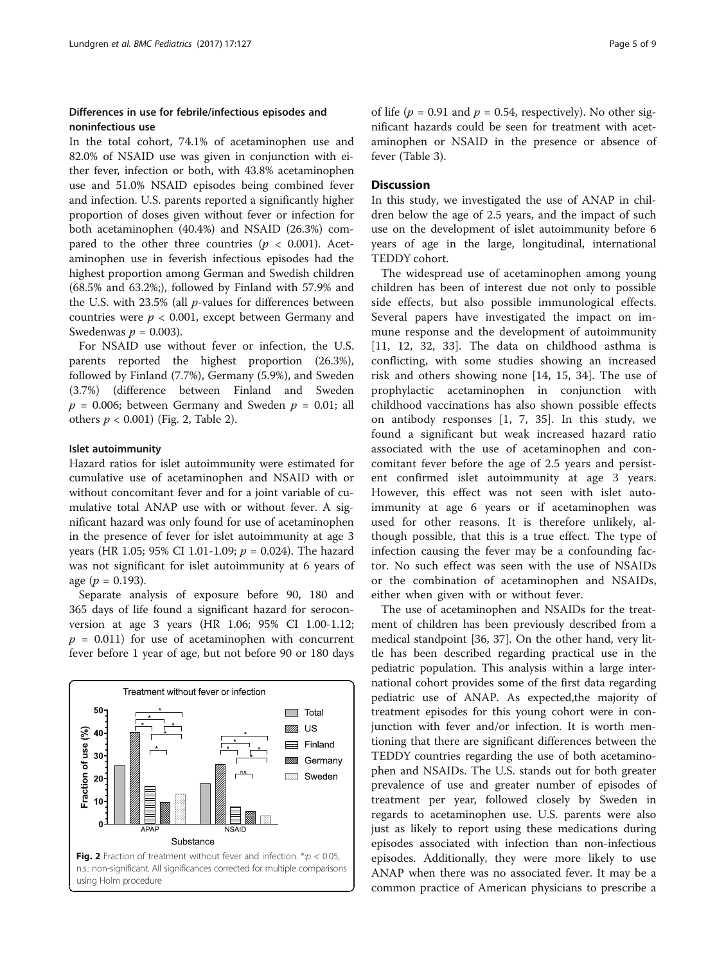# Differences in use for febrile/infectious episodes and noninfectious use

In the total cohort, 74.1% of acetaminophen use and 82.0% of NSAID use was given in conjunction with either fever, infection or both, with 43.8% acetaminophen use and 51.0% NSAID episodes being combined fever and infection. U.S. parents reported a significantly higher proportion of doses given without fever or infection for both acetaminophen (40.4%) and NSAID (26.3%) compared to the other three countries ( $p < 0.001$ ). Acetaminophen use in feverish infectious episodes had the highest proportion among German and Swedish children (68.5% and 63.2%;), followed by Finland with 57.9% and the U.S. with  $23.5\%$  (all *p*-values for differences between countries were  $p < 0.001$ , except between Germany and Swedenwas  $p = 0.003$ ).

For NSAID use without fever or infection, the U.S. parents reported the highest proportion (26.3%), followed by Finland (7.7%), Germany (5.9%), and Sweden (3.7%) (difference between Finland and Sweden  $p = 0.006$ ; between Germany and Sweden  $p = 0.01$ ; all others  $p < 0.001$ ) (Fig. [2](#page-5-0), Table 2).

### Islet autoimmunity

Hazard ratios for islet autoimmunity were estimated for cumulative use of acetaminophen and NSAID with or without concomitant fever and for a joint variable of cumulative total ANAP use with or without fever. A significant hazard was only found for use of acetaminophen in the presence of fever for islet autoimmunity at age 3 years (HR 1.05; 95% CI 1.01-1.09;  $p = 0.024$ ). The hazard was not significant for islet autoimmunity at 6 years of age  $(p = 0.193)$ .

Separate analysis of exposure before 90, 180 and 365 days of life found a significant hazard for seroconversion at age 3 years (HR 1.06; 95% CI 1.00-1.12;  $p = 0.011$ ) for use of acetaminophen with concurrent fever before 1 year of age, but not before 90 or 180 days



of life ( $p = 0.91$  and  $p = 0.54$ , respectively). No other significant hazards could be seen for treatment with acetaminophen or NSAID in the presence or absence of fever (Table [3\)](#page-5-0).

# **Discussion**

In this study, we investigated the use of ANAP in children below the age of 2.5 years, and the impact of such use on the development of islet autoimmunity before 6 years of age in the large, longitudinal, international TEDDY cohort.

The widespread use of acetaminophen among young children has been of interest due not only to possible side effects, but also possible immunological effects. Several papers have investigated the impact on immune response and the development of autoimmunity [[11, 12](#page-8-0), [32, 33](#page-8-0)]. The data on childhood asthma is conflicting, with some studies showing an increased risk and others showing none [[14, 15](#page-8-0), [34\]](#page-8-0). The use of prophylactic acetaminophen in conjunction with childhood vaccinations has also shown possible effects on antibody responses [[1,](#page-7-0) [7](#page-8-0), [35](#page-8-0)]. In this study, we found a significant but weak increased hazard ratio associated with the use of acetaminophen and concomitant fever before the age of 2.5 years and persistent confirmed islet autoimmunity at age 3 years. However, this effect was not seen with islet autoimmunity at age 6 years or if acetaminophen was used for other reasons. It is therefore unlikely, although possible, that this is a true effect. The type of infection causing the fever may be a confounding factor. No such effect was seen with the use of NSAIDs or the combination of acetaminophen and NSAIDs, either when given with or without fever.

The use of acetaminophen and NSAIDs for the treatment of children has been previously described from a medical standpoint [[36](#page-8-0), [37\]](#page-8-0). On the other hand, very little has been described regarding practical use in the pediatric population. This analysis within a large international cohort provides some of the first data regarding pediatric use of ANAP. As expected,the majority of treatment episodes for this young cohort were in conjunction with fever and/or infection. It is worth mentioning that there are significant differences between the TEDDY countries regarding the use of both acetaminophen and NSAIDs. The U.S. stands out for both greater prevalence of use and greater number of episodes of treatment per year, followed closely by Sweden in regards to acetaminophen use. U.S. parents were also just as likely to report using these medications during episodes associated with infection than non-infectious episodes. Additionally, they were more likely to use ANAP when there was no associated fever. It may be a common practice of American physicians to prescribe a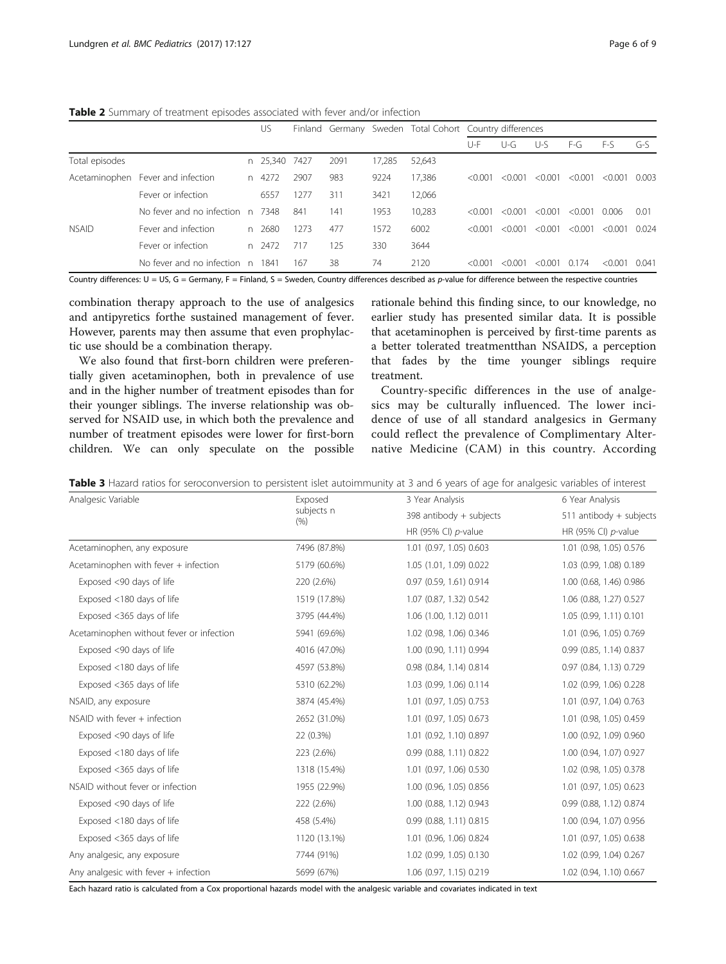<span id="page-5-0"></span>Table 2 Summary of treatment episodes associated with fever and/or infection

|                |                                   |    | US     |      |      | Finland Germany Sweden Total Cohort Country differences |        |         |         |         |         |         |       |
|----------------|-----------------------------------|----|--------|------|------|---------------------------------------------------------|--------|---------|---------|---------|---------|---------|-------|
|                |                                   |    |        |      |      |                                                         |        | U-F     | U-G     | U-S     | $F-G$   | $F-S$   | $G-S$ |
| Total episodes |                                   | n. | 25,340 | 7427 | 2091 | 17,285                                                  | 52,643 |         |         |         |         |         |       |
|                | Acetaminophen Fever and infection | n. | 4272   | 2907 | 983  | 9224                                                    | 17,386 | < 0.001 | < 0.001 | < 0.001 | < 0.001 | < 0.001 | 0.003 |
|                | Fever or infection                |    | 6557   | 1277 | 311  | 3421                                                    | 12,066 |         |         |         |         |         |       |
|                | No fever and no infection n       |    | 7348   | 841  | 141  | 1953                                                    | 10,283 | < 0.001 | < 0.001 | < 0.001 | < 0.001 | 0.006   | 0.01  |
| <b>NSAID</b>   | Fever and infection               | n  | 2680   | 1273 | 477  | 1572                                                    | 6002   | < 0.001 | < 0.001 | < 0.001 | < 0.001 | < 0.001 | 0024  |
|                | Fever or infection                |    | n 2472 | 717  | 125  | 330                                                     | 3644   |         |         |         |         |         |       |
|                | No fever and no infection n       |    | 1841   | 167  | 38   | 74                                                      | 2120   | < 0.001 | < 0.001 | < 0.001 | 0.174   | < 0.001 | 0.041 |

Country differences:  $U = US$ ,  $G = Germany$ ,  $F = Finland$ ,  $S = Sweden$ , Country differences described as p-value for difference between the respective countries

combination therapy approach to the use of analgesics and antipyretics forthe sustained management of fever. However, parents may then assume that even prophylactic use should be a combination therapy.

We also found that first-born children were preferentially given acetaminophen, both in prevalence of use and in the higher number of treatment episodes than for their younger siblings. The inverse relationship was observed for NSAID use, in which both the prevalence and number of treatment episodes were lower for first-born children. We can only speculate on the possible

rationale behind this finding since, to our knowledge, no earlier study has presented similar data. It is possible that acetaminophen is perceived by first-time parents as a better tolerated treatmentthan NSAIDS, a perception that fades by the time younger siblings require treatment.

Country-specific differences in the use of analgesics may be culturally influenced. The lower incidence of use of all standard analgesics in Germany could reflect the prevalence of Complimentary Alternative Medicine (CAM) in this country. According

| Analgesic Variable                       | Exposed            | 3 Year Analysis         | 6 Year Analysis           |  |  |
|------------------------------------------|--------------------|-------------------------|---------------------------|--|--|
|                                          | subjects n<br>(% ) | 398 antibody + subjects | $511$ antibody + subjects |  |  |
|                                          |                    | HR (95% CI) $p$ -value  | HR (95% CI) $p$ -value    |  |  |
| Acetaminophen, any exposure              | 7496 (87.8%)       | 1.01 (0.97, 1.05) 0.603 | 1.01 (0.98, 1.05) 0.576   |  |  |
| Acetaminophen with fever + infection     | 5179 (60.6%)       | 1.05 (1.01, 1.09) 0.022 | 1.03 (0.99, 1.08) 0.189   |  |  |
| Exposed <90 days of life                 | 220 (2.6%)         | 0.97 (0.59, 1.61) 0.914 | 1.00 (0.68, 1.46) 0.986   |  |  |
| Exposed <180 days of life                | 1519 (17.8%)       | 1.07 (0.87, 1.32) 0.542 | 1.06 (0.88, 1.27) 0.527   |  |  |
| Exposed <365 days of life                | 3795 (44.4%)       | 1.06 (1.00, 1.12) 0.011 | 1.05 (0.99, 1.11) 0.101   |  |  |
| Acetaminophen without fever or infection | 5941 (69.6%)       | 1.02 (0.98, 1.06) 0.346 | 1.01 (0.96, 1.05) 0.769   |  |  |
| Exposed <90 days of life                 | 4016 (47.0%)       | 1.00 (0.90, 1.11) 0.994 | 0.99 (0.85, 1.14) 0.837   |  |  |
| Exposed <180 days of life                | 4597 (53.8%)       | 0.98 (0.84, 1.14) 0.814 | 0.97 (0.84, 1.13) 0.729   |  |  |
| Exposed <365 days of life                | 5310 (62.2%)       | 1.03 (0.99, 1.06) 0.114 | 1.02 (0.99, 1.06) 0.228   |  |  |
| NSAID, any exposure                      | 3874 (45.4%)       | 1.01 (0.97, 1.05) 0.753 | 1.01 (0.97, 1.04) 0.763   |  |  |
| NSAID with fever + infection             | 2652 (31.0%)       | 1.01 (0.97, 1.05) 0.673 | 1.01 (0.98, 1.05) 0.459   |  |  |
| Exposed <90 days of life                 | 22 (0.3%)          | 1.01 (0.92, 1.10) 0.897 | 1.00 (0.92, 1.09) 0.960   |  |  |
| Exposed <180 days of life                | 223 (2.6%)         | 0.99 (0.88, 1.11) 0.822 | 1.00 (0.94, 1.07) 0.927   |  |  |
| Exposed <365 days of life                | 1318 (15.4%)       | 1.01 (0.97, 1.06) 0.530 | 1.02 (0.98, 1.05) 0.378   |  |  |
| NSAID without fever or infection         | 1955 (22.9%)       | 1.00 (0.96, 1.05) 0.856 | 1.01 (0.97, 1.05) 0.623   |  |  |
| Exposed <90 days of life                 | 222 (2.6%)         | 1.00 (0.88, 1.12) 0.943 | 0.99 (0.88, 1.12) 0.874   |  |  |
| Exposed <180 days of life                | 458 (5.4%)         | 0.99 (0.88, 1.11) 0.815 | 1.00 (0.94, 1.07) 0.956   |  |  |
| Exposed <365 days of life                | 1120 (13.1%)       | 1.01 (0.96, 1.06) 0.824 | 1.01 (0.97, 1.05) 0.638   |  |  |
| Any analgesic, any exposure              | 7744 (91%)         | 1.02 (0.99, 1.05) 0.130 | 1.02 (0.99, 1.04) 0.267   |  |  |
| Any analgesic with fever $+$ infection   | 5699 (67%)         | 1.06 (0.97, 1.15) 0.219 | 1.02 (0.94, 1.10) 0.667   |  |  |

Table 3 Hazard ratios for seroconversion to persistent islet autoimmunity at 3 and 6 years of age for analgesic variables of interest

Each hazard ratio is calculated from a Cox proportional hazards model with the analgesic variable and covariates indicated in text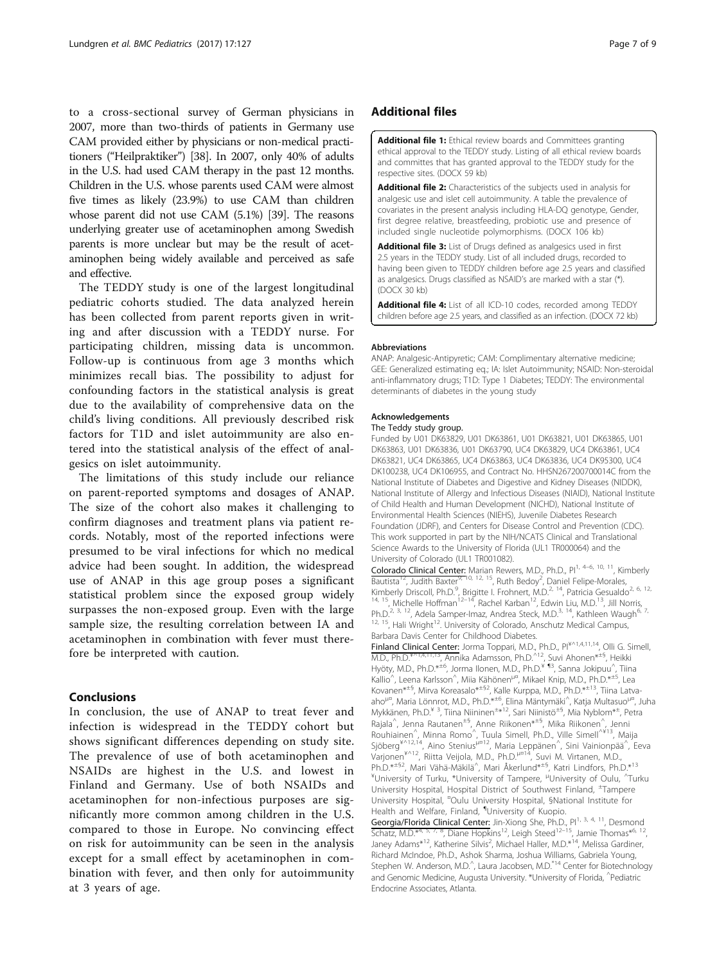<span id="page-6-0"></span>to a cross-sectional survey of German physicians in 2007, more than two-thirds of patients in Germany use CAM provided either by physicians or non-medical practitioners ("Heilpraktiker") [\[38\]](#page-8-0). In 2007, only 40% of adults in the U.S. had used CAM therapy in the past 12 months. Children in the U.S. whose parents used CAM were almost five times as likely (23.9%) to use CAM than children whose parent did not use CAM (5.1%) [[39](#page-8-0)]. The reasons underlying greater use of acetaminophen among Swedish parents is more unclear but may be the result of acetaminophen being widely available and perceived as safe and effective.

The TEDDY study is one of the largest longitudinal pediatric cohorts studied. The data analyzed herein has been collected from parent reports given in writing and after discussion with a TEDDY nurse. For participating children, missing data is uncommon. Follow-up is continuous from age 3 months which minimizes recall bias. The possibility to adjust for confounding factors in the statistical analysis is great due to the availability of comprehensive data on the child's living conditions. All previously described risk factors for T1D and islet autoimmunity are also entered into the statistical analysis of the effect of analgesics on islet autoimmunity.

The limitations of this study include our reliance on parent-reported symptoms and dosages of ANAP. The size of the cohort also makes it challenging to confirm diagnoses and treatment plans via patient records. Notably, most of the reported infections were presumed to be viral infections for which no medical advice had been sought. In addition, the widespread use of ANAP in this age group poses a significant statistical problem since the exposed group widely surpasses the non-exposed group. Even with the large sample size, the resulting correlation between IA and acetaminophen in combination with fever must therefore be interpreted with caution.

# Conclusions

In conclusion, the use of ANAP to treat fever and infection is widespread in the TEDDY cohort but shows significant differences depending on study site. The prevalence of use of both acetaminophen and NSAIDs are highest in the U.S. and lowest in Finland and Germany. Use of both NSAIDs and acetaminophen for non-infectious purposes are significantly more common among children in the U.S. compared to those in Europe. No convincing effect on risk for autoimmunity can be seen in the analysis except for a small effect by acetaminophen in combination with fever, and then only for autoimmunity at 3 years of age.

# Additional files

[Additional file 1:](dx.doi.org/10.1186/s12887-017-0884-y) Ethical review boards and Committees granting ethical approval to the TEDDY study. Listing of all ethical review boards and committes that has granted approval to the TEDDY study for the respective sites. (DOCX 59 kb)

[Additional file 2:](dx.doi.org/10.1186/s12887-017-0884-y) Characteristics of the subjects used in analysis for analgesic use and islet cell autoimmunity. A table the prevalence of covariates in the present analysis including HLA-DQ genotype, Gender, first degree relative, breastfeeding, probiotic use and presence of included single nucleotide polymorphisms. (DOCX 106 kb)

[Additional file 3:](dx.doi.org/10.1186/s12887-017-0884-y) List of Drugs defined as analgesics used in first 2.5 years in the TEDDY study. List of all included drugs, recorded to having been given to TEDDY children before age 2.5 years and classified as analgesics. Drugs classified as NSAID's are marked with a star (\*).  $(DDCY$  30 kb)

[Additional file 4:](dx.doi.org/10.1186/s12887-017-0884-y) List of all ICD-10 codes, recorded among TEDDY children before age 2.5 years, and classified as an infection. (DOCX 72 kb)

#### Abbreviations

ANAP: Analgesic-Antipyretic; CAM: Complimentary alternative medicine; GEE: Generalized estimating eq.; IA: Islet Autoimmunity; NSAID: Non-steroidal anti-inflammatory drugs; T1D: Type 1 Diabetes; TEDDY: The environmental determinants of diabetes in the young study

#### Acknowledgements

#### The Teddy study group.

Funded by U01 DK63829, U01 DK63861, U01 DK63821, U01 DK63865, U01 DK63863, U01 DK63836, U01 DK63790, UC4 DK63829, UC4 DK63861, UC4 DK63821, UC4 DK63865, UC4 DK63863, UC4 DK63836, UC4 DK95300, UC4 DK100238, UC4 DK106955, and Contract No. HHSN267200700014C from the National Institute of Diabetes and Digestive and Kidney Diseases (NIDDK), National Institute of Allergy and Infectious Diseases (NIAID), National Institute of Child Health and Human Development (NICHD), National Institute of Environmental Health Sciences (NIEHS), Juvenile Diabetes Research Foundation (JDRF), and Centers for Disease Control and Prevention (CDC). This work supported in part by the NIH/NCATS Clinical and Translational Science Awards to the University of Florida (UL1 TR000064) and the University of Colorado (UL1 TR001082).

Colorado Clinical Center: Marian Rewers, M.D., Ph.D., Pl<sup>1, 4–6, 10, 11</sup>, Kimberly Bautista<sup>12</sup>, Judith Baxter<sup>9, 10, 12, <sup>15</sup>, Ruth Bedoy<sup>2</sup>, Daniel Felipe-Morales,</sup> Kimberly Driscoll, Ph.D.<sup>9</sup>, Brigitte I. Frohnert, M.D.<sup>2, 14</sup>, Patricia Gesualdo<sup>2, 6, 12</sup>  $14, 15$ , Michelle Hoffman<sup>12–14</sup>, Rachel Karban<sup>12</sup>, Edwin Liu, M.D.<sup>13</sup>, Jill Norris, Ph.D.<sup>2, 3, 12</sup>, Adela Samper-Imaz, Andrea Steck, M.D.<sup>3, 14</sup>, Kathleen Waugh<sup>6, 7,</sup> <sup>12, 15</sup>, Hali Wright<sup>12</sup>. University of Colorado, Anschutz Medical Campus, Barbara Davis Center for Childhood Diabetes.

Finland Clinical Center: Jorma Toppari, M.D., Ph.D., PI<sup>¥^1,4,11,14</sup>, Olli G. Simell, M.D., Ph.D.<sup>\*^1,4,11,13</sup>, Annika Adamsson, Ph.D.<sup>^12</sup>, Suvi Ahonen\*<sup>±§</sup>, Heikki Hyöty, M.D., Ph.D.\*<sup>±6</sup>, Jorma Ilonen, M.D., Ph.D.<sup>\* ¶3</sup>, Sanna Jokipuu<sup>^</sup>, Tiina Kallio<sup>^</sup>, Leena Karlsson<sup>^</sup>, Miia Kähönen<sup>µ¤</sup>, Mikael Knip, M.D., Ph.D.\*<sup>±5</sup>, Lea Kovanen\*<sup>±§</sup>, Mirva Koreasalo\*<sup>±§2</sup>, Kalle Kurppa, M.D., Ph.D.\*<sup>±13</sup>, Tiina Latvaaho<sup>µ¤</sup>, Maria Lönnrot, M.D., Ph.D.\*<sup>±6</sup>, Elina Mäntymäki<sup>^</sup>, Katja Multasuo<sup>µ¤</sup>, Juha Mykkänen, Ph.D.<sup>¥ 3</sup>, Tiina Niininen<sup>±\*12</sup>, Sari Niinistö<sup>±§</sup>, Mia Nyblom<sup>\*±</sup>, Petra Rajala<sup>^</sup>, Jenna Rautanen<sup>±§</sup>, Anne Riikonen<sup>\*±§</sup>, Mika Riikonen<sup>^</sup>, Jenni Rouhiainen<sup>^</sup>, Minna Romo<sup>^</sup>, Tuula Simell, Ph.D., Ville Simell<sup>^¥13</sup>, Maija Sjöberg<sup>¥^12,14</sup>, Aino Stenius<sup>µ¤12</sup>, Maria Leppänen<sup>^</sup>, Sini Vainionpää<sup>^</sup>, Eeva Varjonen<sup>¥^12</sup>, Riitta Veijola, M.D., Ph.D.<sup>μ¤14</sup>, Suvi M. Virtanen, M.D., Ph.D.\*<sup>±§2</sup>, Mari Vähä-Mäkilä<sup>^</sup>, Mari Åkerlund\*<sup>±§</sup>, Katri Lindfors, Ph.D.\*<sup>13</sup> ¥ University of Turku, \*University of Tampere, <sup>μ</sup> University of Oulu, ^ Turku University Hospital, Hospital District of Southwest Finland, <sup>±</sup>Tampere University Hospital, "Oulu University Hospital, §National Institute for Health and Welfare, Finland, ¶ University of Kuopio. Georgia/Florida Clinical Center: Jin-Xiong She, Ph.D., Pl<sup>1, 3, 4, 11</sup>, Desmond Schatz, M.D.\*<sup>4, 5, 7, 8</sup>, Diane Hopkins<sup>12</sup>, Leigh Steed<sup>12–15</sup>, Jamie Thomas<sup>\*6, 12</sup>, Janey Adams\*<sup>12</sup>, Katherine Silvis<sup>2</sup>, Michael Haller, M.D.\*<sup>14</sup>, Melissa Gardiner, Richard McIndoe, Ph.D., Ashok Sharma, Joshua Williams, Gabriela Young,

Stephen W. Anderson, M.D.<sup>^</sup>, Laura Jacobsen, M.D.<sup>\*14</sup> Center for Biotechnology and Genomic Medicine, Augusta University. \*University of Florida, ^ Pediatric Endocrine Associates, Atlanta.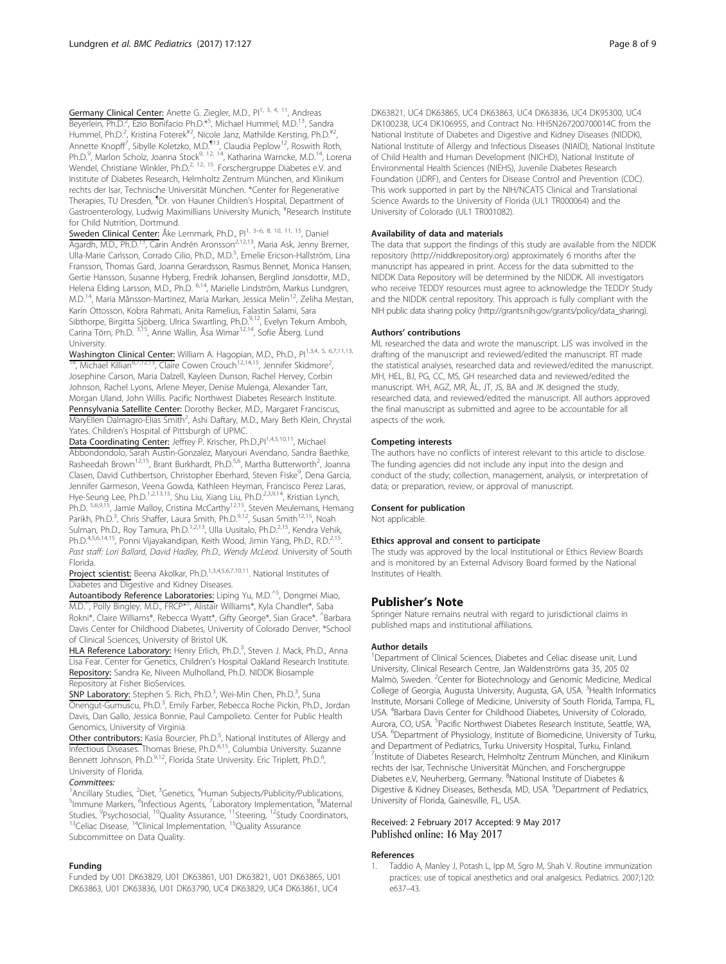<span id="page-7-0"></span>Germany Clinical Center: Anette G. Ziegler, M.D., Pl<sup>1, 3, 4, 11</sup>, Andreas Beyerlein, Ph.D.<sup>2</sup>, Ezio Bonifacio Ph.D.\*<sup>5</sup>, Michael Hummel, M.D.<sup>13</sup>, Sandra Hummel, Ph.D.<sup>2</sup>, Kristina Foterek<sup>¥2</sup>, Nicole Janz, Mathilde Kersting, Ph.D.<sup>¥2</sup>, Annette Knopff<sup>7</sup>, Sibylle Koletzko, M.D.<sup>¶13</sup>, Claudia Peplow<sup>12</sup>, Roswith Roth, Ph.D.<sup>9</sup>, Marlon Scholz, Joanna Stock<sup>9, 12, 14</sup>, Katharina Warncke, M.D.<sup>14</sup>, Lorena Wendel, Christiane Winkler, Ph.D.<sup>2, 12, 15</sup>. Forschergruppe Diabetes e.V. and Institute of Diabetes Research, Helmholtz Zentrum München, and Klinikum rechts der Isar, Technische Universität München. \*Center for Regenerative Therapies, TU Dresden, <sup>¶</sup>Dr. von Hauner Children's Hospital, Department of Gastroenterology, Ludwig Maximillians University Munich, <sup>¥</sup>Research Institute for Child Nutrition, Dortmund.

Sweden Clinical Center: Åke Lernmark, Ph.D., Pl<sup>1, 3–6, 8, 10, 11, 15</sup>, Daniel Agardh, M.D., Ph.D.<sup>13</sup>, Carin Andrén Aronsson<sup>2,12,13</sup>, Maria Ask, Jenny Bremer, Ulla-Marie Carlsson, Corrado Cilio, Ph.D., M.D.<sup>5</sup>, Emelie Ericson-Hallström, Lina Fransson, Thomas Gard, Joanna Gerardsson, Rasmus Bennet, Monica Hansen, Gertie Hansson, Susanne Hyberg, Fredrik Johansen, Berglind Jonsdottir, M.D., Helena Elding Larsson, M.D., Ph.D. 6,14, Marielle Lindström, Markus Lundgren, M.D.14, Maria Månsson-Martinez, Maria Markan, Jessica Melin12, Zeliha Mestan, Karin Ottosson, Kobra Rahmati, Anita Ramelius, Falastin Salami, Sara Sibthorpe, Birgitta Sjöberg, Ulrica Swartling, Ph.D.9,12, Evelyn Tekum Amboh, Carina Törn, Ph.D. 3,15, Anne Wallin, Åsa Wimar12,14, Sofie Åberg. Lund University.

Washington Clinical Center: William A. Hagopian, M.D., Ph.D., Pl<sup>1,3,4, 5, 6,7,11,13</sup>, <sup>14</sup>, Michael Killian<sup>6, 7, 12, 13</sup>, Claire Cowen Crouch<sup>12, 14, 15</sup>, Jennifer Skidmore<sup>2</sup> , Josephine Carson, Maria Dalzell, Kayleen Dunson, Rachel Hervey, Corbin Johnson, Rachel Lyons, Arlene Meyer, Denise Mulenga, Alexander Tarr, Morgan Uland, John Willis. Pacific Northwest Diabetes Research Institute. Pennsylvania Satellite Center: Dorothy Becker, M.D., Margaret Franciscus, MaryEllen Dalmagro-Elias Smith<sup>2</sup>, Ashi Daftary, M.D., Mary Beth Klein, Chrystal Yates. Children's Hospital of Pittsburgh of UPMC.

Data Coordinating Center: Jeffrey P. Krischer, Ph.D., PI<sup>1,4,5,10,11</sup>, Michael Abbondondolo, Sarah Austin-Gonzalez, Maryouri Avendano, Sandra Baethke, Rasheedah Brown<sup>12,15</sup>, Brant Burkhardt, Ph.D.<sup>5,6</sup>, Martha Butterworth<sup>2</sup>, Joanna Clasen, David Cuthbertson, Christopher Eberhard, Steven Fiske<sup>9</sup>, Dena Garcia, Jennifer Garmeson, Veena Gowda, Kathleen Heyman, Francisco Perez Laras, Hye-Seung Lee, Ph.D.<sup>1,2,13,15</sup>, Shu Liu, Xiang Liu, Ph.D.<sup>2,3,9,14</sup>, Kristian Lynch, Ph.D. <sup>5,6,9,15</sup>, Jamie Malloy, Cristina McCarthy<sup>12,15</sup>, Steven Meulemans, Hemang Parikh, Ph.D.<sup>3</sup>, Chris Shaffer, Laura Smith, Ph.D.<sup>9,12</sup>, Susan Smith<sup>12,15</sup>, Noah Sulman, Ph.D., Roy Tamura, Ph.D.1,2,13, Ulla Uusitalo, Ph.D.2,15, Kendra Vehik, Ph.D.<sup>4,5,6,14,15</sup>, Ponni Vijayakandipan, Keith Wood, Jimin Yang, Ph.D., R.D.<sup>2,15</sup>. Past staff: Lori Ballard, David Hadley, Ph.D., Wendy McLeod. University of South Florida.

Project scientist: Beena Akolkar, Ph.D.<sup>1,3,4,5,6,7,10,11</sup>. National Institutes of Diabetes and Digestive and Kidney Diseases.

Autoantibody Reference Laboratories: Liping Yu, M.D.<sup>^5</sup>, Dongmei Miao, M.D.<sup>^</sup>, Polly Bingley, M.D., FRCP<sup>\*></sup>, Alistair Williams\*, Kyla Chandler\*, Saba Rokni\*, Claire Williams\*, Rebecca Wyatt\*, Gifty George\*, Sian Grace\*. ^ Barbara Davis Center for Childhood Diabetes, University of Colorado Denver, \*School of Clinical Sciences, University of Bristol UK.

HLA Reference Laboratory: Henry Erlich, Ph.D.<sup>3</sup>, Steven J. Mack, Ph.D., Anna Lisa Fear. Center for Genetics, Children's Hospital Oakland Research Institute. Repository: Sandra Ke, Niveen Mulholland, Ph.D. NIDDK Biosample Repository at Fisher BioServices.

SNP Laboratory: Stephen S. Rich, Ph.D.<sup>3</sup>, Wei-Min Chen, Ph.D.<sup>3</sup>, Suna Onengut-Gumuscu, Ph.D.<sup>3</sup>, Emily Farber, Rebecca Roche Pickin, Ph.D., Jordan Davis, Dan Gallo, Jessica Bonnie, Paul Campolieto. Center for Public Health Genomics, University of Virginia.

Other contributors: Kasia Bourcier, Ph.D.<sup>5</sup>, National Institutes of Allergy and Infectious Diseases. Thomas Briese, Ph.D.<sup>6,15</sup>, Columbia University. Suzanne Bennett Johnson, Ph.D.<sup>9,12</sup>, Florida State University. Eric Triplett, Ph.D.<sup>6</sup>, , University of Florida.

#### Committees:

<sup>1</sup> Ancillary Studies, <sup>2</sup>Diet, <sup>3</sup>Genetics, <sup>4</sup> <sup>1</sup>Ancillary Studies, <sup>2</sup>Diet, <sup>3</sup>Genetics, <sup>4</sup>Human Subjects/Publicity/Publications,<br><sup>5</sup>Immune Markers, <sup>6</sup>Infectious Agents, <sup>7</sup>Laboratory Implementation, <sup>8</sup>Maternal<br>Studies, <sup>9</sup>Psychosocial, <sup>10</sup>Quality Assurance, <sup>11</sup> Subcommittee on Data Quality.

#### Funding

Funded by U01 DK63829, U01 DK63861, U01 DK63821, U01 DK63865, U01 DK63863, U01 DK63836, U01 DK63790, UC4 DK63829, UC4 DK63861, UC4

DK63821, UC4 DK63865, UC4 DK63863, UC4 DK63836, UC4 DK95300, UC4 DK100238, UC4 DK106955, and Contract No. HHSN267200700014C from the National Institute of Diabetes and Digestive and Kidney Diseases (NIDDK), National Institute of Allergy and Infectious Diseases (NIAID), National Institute of Child Health and Human Development (NICHD), National Institute of Environmental Health Sciences (NIEHS), Juvenile Diabetes Research Foundation (JDRF), and Centers for Disease Control and Prevention (CDC). This work supported in part by the NIH/NCATS Clinical and Translational Science Awards to the University of Florida (UL1 TR000064) and the University of Colorado (UL1 TR001082).

#### Availability of data and materials

The data that support the findings of this study are available from the NIDDK repository ([http://niddkrepository.org\)](http://niddkrepository.org) approximately 6 months after the manuscript has appeared in print. Access for the data submitted to the NIDDK Data Repository will be determined by the NIDDK. All investigators who receive TEDDY resources must agree to acknowledge the TEDDY Study and the NIDDK central repository. This approach is fully compliant with the NIH public data sharing policy [\(http://grants.nih.gov/grants/policy/data\\_sharing\)](http://grants.nih.gov/grants/policy/data_sharing).

#### Authors' contributions

ML researched the data and wrote the manuscript. LJS was involved in the drafting of the manuscript and reviewed/edited the manuscript. RT made the statistical analyses, researched data and reviewed/edited the manuscript. MH, HEL, BJ, PG, CC, MS, GH researched data and reviewed/edited the manuscript. WH, AGZ, MR, ÅL, JT, JS, BA and JK designed the study, researched data, and reviewed/edited the manuscript. All authors approved the final manuscript as submitted and agree to be accountable for all aspects of the work.

#### Competing interests

The authors have no conflicts of interest relevant to this article to disclose. The funding agencies did not include any input into the design and conduct of the study; collection, management, analysis, or interpretation of data; or preparation, review, or approval of manuscript.

#### Consent for publication

Not applicable.

#### Ethics approval and consent to participate

The study was approved by the local Institutional or Ethics Review Boards and is monitored by an External Advisory Board formed by the National Institutes of Health.

## Publisher's Note

Springer Nature remains neutral with regard to jurisdictional claims in published maps and institutional affiliations.

#### Author details

<sup>1</sup>Department of Clinical Sciences, Diabetes and Celiac disease unit, Lund University, Clinical Research Centre, Jan Waldenströms gata 35, 205 02 Malmö, Sweden. <sup>2</sup> Center for Biotechnology and Genomic Medicine, Medical College of Georgia, Augusta University, Augusta, GA, USA. <sup>3</sup>Health Informatics Institute, Morsani College of Medicine, University of South Florida, Tampa, FL, USA. <sup>4</sup>Barbara Davis Center for Childhood Diabetes, University of Colorado Aurora, CO, USA. <sup>5</sup>Pacific Northwest Diabetes Research Institute, Seattle, WA, USA. <sup>6</sup>Department of Physiology, Institute of Biomedicine, University of Turku and Department of Pediatrics, Turku University Hospital, Turku, Finland. <sup>7</sup>Institute of Diabetes Research, Helmholtz Zentrum München, and Klinikum rechts der Isar, Technische Universität München, and Forschergruppe Diabetes e.V, Neuherberg, Germany. <sup>8</sup>National Institute of Diabetes & Digestive & Kidney Diseases, Bethesda, MD, USA. <sup>9</sup>Department of Pediatrics University of Florida, Gainesville, FL, USA.

### Received: 2 February 2017 Accepted: 9 May 2017 Published online: 16 May 2017

#### References

Taddio A, Manley J, Potash L, Ipp M, Sgro M, Shah V. Routine immunization practices: use of topical anesthetics and oral analgesics. Pediatrics. 2007;120: e637–43.